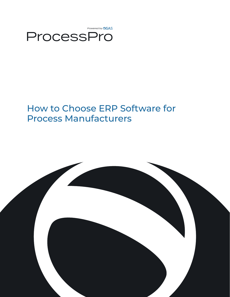

# How to Choose ERP Software for Process Manufacturers

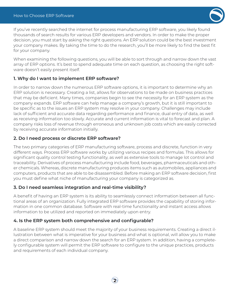

If you've recently searched the internet for process manufacturing ERP software, you likely found thousands of search results for various ERP developers and vendors. In order to make the proper decision, you must start by asking the right questions. An ERP solution could be the best investment your company makes. By taking the time to do the research, you'll be more likely to find the best fit for your company.

When examining the following questions, you will be able to sort through and narrow down the vast array of ERP options. It's best to spend adequate time on each question, as choosing the right software doesn't easily present itself.

## **1. Why do I want to implement ERP software?**

In order to narrow down the numerous ERP software options, it is important to determine why an ERP solution is necessary. Creating a list, allows for observations to be made on business practices that may be deficient. Many times, companies begin to see the necessity for an ERP system as the company expands. ERP software can help manage a company's growth, but it is still important to be specific as to the issues an ERP system may resolve in your company. Challenges may include lack of sufficient and accurate data regarding performance and finance, dual entry of data, as well as receiving information too slowly. Accurate and current information is vital to forecast and plan. A company risks loss of revenue through erroneous and unknown job costs which are easily corrected by receiving accurate information initially.

## **2. Do I need process or discrete ERP software?**

The two primary categories of ERP manufacturing software, process and discrete, function in very different ways. Process ERP software works by utilizing various recipes and formulas. This allows for significant quality control testing functionality, as well as extensive tools to manage lot control and traceability. Derivatives of process manufacturing include food, beverages, pharmaceuticals and other chemicals. Whereas, discrete manufacturing produces items such as automobiles, appliances and computers, products that are able to be disassembled. Before making an ERP software decision, first you must define what niche of manufacturing your company is categorized as.

# **3. Do I need seamless integration and real-time visibility?**

A benefit of having an ERP system is its ability to seamlessly connect information between all functional areas of an organization. Fully integrated ERP software provides the capability of storing information in one common database. Software with real-time functionality and instant access allows information to be utilized and reported on immediately upon entry.

# **4. Is the ERP system both comprehensive and configurable?**

A baseline ERP system should meet the majority of your business requirements. Creating a direct illustration between what is imperative for your business and what is optional, will allow you to make a direct comparison and narrow down the search for an ERP system. In addition, having a completely configurable system will permit the ERP software to configure to the unique practices, products and requirements of each individual company.

**2**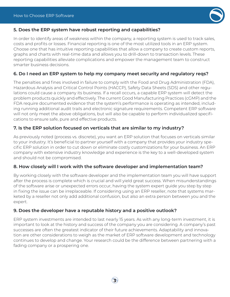

#### **5. Does the ERP system have robust reporting and capabilities?**

In order to identify areas of weakness within the company, a reporting system is used to track sales, costs and profits or losses. Financial reporting is one of the most utilized tools in an ERP system. Choose one that has intuitive reporting capabilities that allow a company to create custom reports, graphs and charts with real-time data and allows you to drill-down to transaction levels. These reporting capabilities alleviate complications and empower the management team to construct smarter business decisions.

## **6. Do I need an ERP system to help my company meet security and regulatory reqs?**

The penalties and fines involved in failure to comply with the Food and Drug Administration (FDA), Hazardous Analysis and Critical Control Points (HACCP), Safety Data Sheets (SDS) and other regulations could cause a company its business. If a recall occurs, a capable ERP system will detect the problem products quickly and effectively. The current Good Manufacturing Practices (cGMP) and the FDA require documented evidence that the system's performance is operating as intended, including running additional audit trails and electronic signature requirements. Competent ERP software will not only meet the above obligations, but will also be capable to perform individualized specifications to ensure safe, pure and effective products.

## **7. Is the ERP solution focused on verticals that are similar to my industry?**

As previously noted (process vs. discrete), you want an ERP solution that focuses on verticals similar to your industry. It's beneficial to partner yourself with a company that provides your industry specific ERP solution in order to cut down or eliminate costly customizations for your business. An ERP company with extensive industry knowledge and experience is the key to a well-developed system and should not be compromised.

#### **8. How closely will I work with the software developer and implementation team?**

By working closely with the software developer and the implementation team you will have support after the process is complete which is crucial and will yield great success. When misunderstandings of the software arise or unexpected errors occur, having the system expert guide you step by step in fixing the issue can be irreplaceable. If considering using an ERP reseller, note that systems marketed by a reseller not only add additional confusion, but also an extra person between you and the expert.

## **9. Does the developer have a reputable history and a positive outlook?**

ERP system investments are intended to last nearly 15 years. As with any long-term investment, it is important to look at the history and success of the company you are considering. A company's past successes are often the greatest indicator of their future achievements. Adaptability and innovation are other considerations to weigh as the market of ERP software development and technology continues to develop and change. Your research could be the difference between partnering with a fading company or a prospering one.

**3**